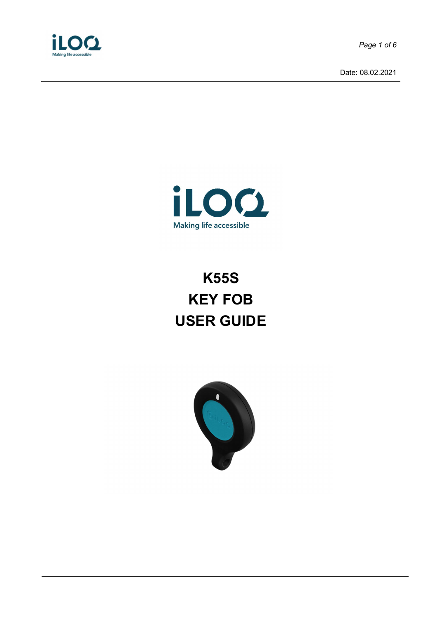

*Page 1 of 6*

Date: 08.02.2021



# **K55S KEY FOB USER GUIDE**

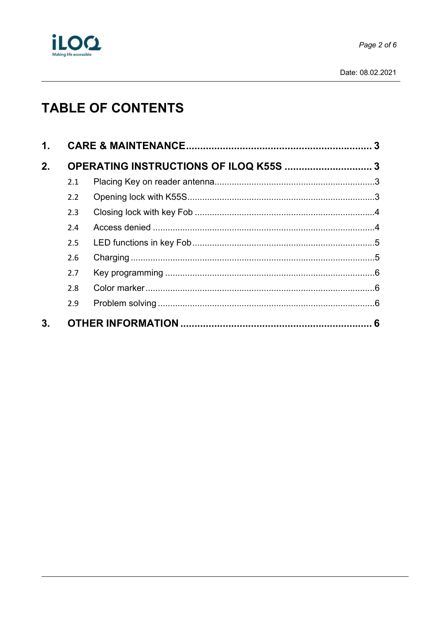

# **TABLE OF CONTENTS**

| 1. |     |                                        |  |
|----|-----|----------------------------------------|--|
| 2. |     | OPERATING INSTRUCTIONS OF ILOQ K55S  3 |  |
|    | 2.1 |                                        |  |
|    | 2.2 |                                        |  |
|    | 2.3 |                                        |  |
|    | 2.4 |                                        |  |
|    | 2.5 |                                        |  |
|    | 2.6 |                                        |  |
|    | 2.7 |                                        |  |
|    | 2.8 |                                        |  |
|    | 2.9 |                                        |  |
| 3. |     |                                        |  |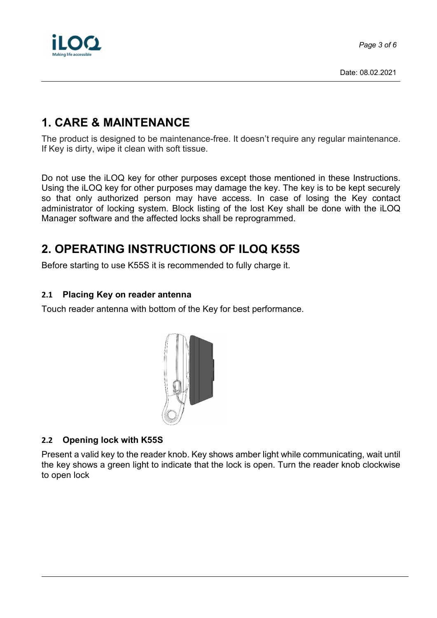

### **1. CARE & MAINTENANCE**

The product is designed to be maintenance-free. It doesn't require any regular maintenance. If Key is dirty, wipe it clean with soft tissue.

Do not use the iLOQ key for other purposes except those mentioned in these Instructions. Using the iLOQ key for other purposes may damage the key. The key is to be kept securely so that only authorized person may have access. In case of losing the Key contact administrator of locking system. Block listing of the lost Key shall be done with the iLOQ Manager software and the affected locks shall be reprogrammed.

# **2. OPERATING INSTRUCTIONS OF ILOQ K55S**

Before starting to use K55S it is recommended to fully charge it.

#### **2.1 Placing Key on reader antenna**

Touch reader antenna with bottom of the Key for best performance.



#### **2.2 Opening lock with K55S**

Present a valid key to the reader knob. Key shows amber light while communicating, wait until the key shows a green light to indicate that the lock is open. Turn the reader knob clockwise to open lock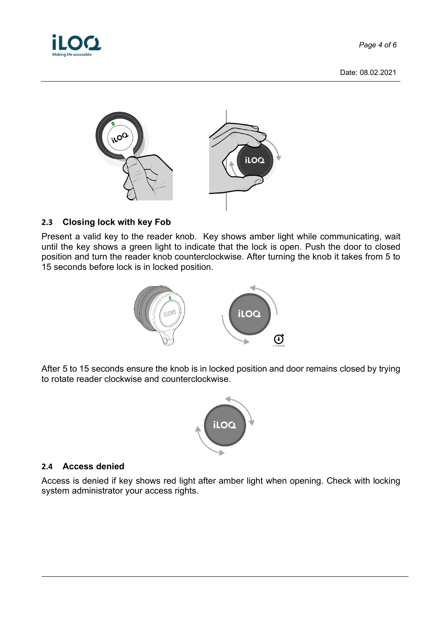*Page 4 of 6*

Date: 08.02.2021



#### **2.3 Closing lock with key Fob**

Present a valid key to the reader knob. Key shows amber light while communicating, wait until the key shows a green light to indicate that the lock is open. Push the door to closed position and turn the reader knob counterclockwise. After turning the knob it takes from 5 to 15 seconds before lock is in locked position.



After 5 to 15 seconds ensure the knob is in locked position and door remains closed by trying to rotate reader clockwise and counterclockwise.



#### **2.4 Access denied**

Access is denied if key shows red light after amber light when opening. Check with locking system administrator your access rights.

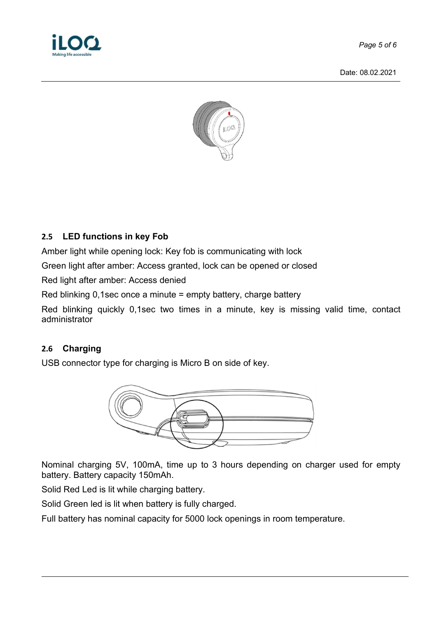

*Page 5 of 6*

Date: 08.02.2021



#### **2.5 LED functions in key Fob**

Amber light while opening lock: Key fob is communicating with lock

Green light after amber: Access granted, lock can be opened or closed

Red light after amber: Access denied

Red blinking 0,1sec once a minute = empty battery, charge battery

Red blinking quickly 0,1sec two times in a minute, key is missing valid time, contact administrator

#### **2.6 Charging**

USB connector type for charging is Micro B on side of key.



Nominal charging 5V, 100mA, time up to 3 hours depending on charger used for empty battery. Battery capacity 150mAh.

Solid Red Led is lit while charging battery.

Solid Green led is lit when battery is fully charged.

Full battery has nominal capacity for 5000 lock openings in room temperature.